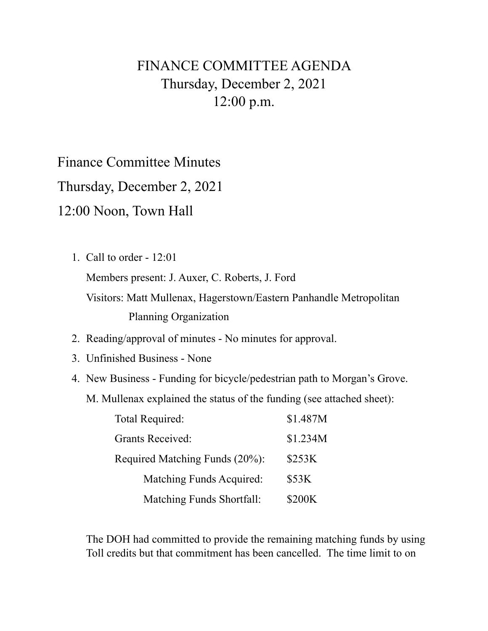## FINANCE COMMITTEE AGENDA Thursday, December 2, 2021 12:00 p.m.

Finance Committee Minutes

Thursday, December 2, 2021

12:00 Noon, Town Hall

1. Call to order - 12:01

Members present: J. Auxer, C. Roberts, J. Ford

 Visitors: Matt Mullenax, Hagerstown/Eastern Panhandle Metropolitan Planning Organization

- 2. Reading/approval of minutes No minutes for approval.
- 3. Unfinished Business None
- 4. New Business Funding for bicycle/pedestrian path to Morgan's Grove.
	- M. Mullenax explained the status of the funding (see attached sheet):

| Total Required:                | \$1.487M |
|--------------------------------|----------|
| <b>Grants Received:</b>        | \$1.234M |
| Required Matching Funds (20%): | \$253K   |
| Matching Funds Acquired:       | \$53K    |
| Matching Funds Shortfall:      | \$200K   |

 The DOH had committed to provide the remaining matching funds by using Toll credits but that commitment has been cancelled. The time limit to on